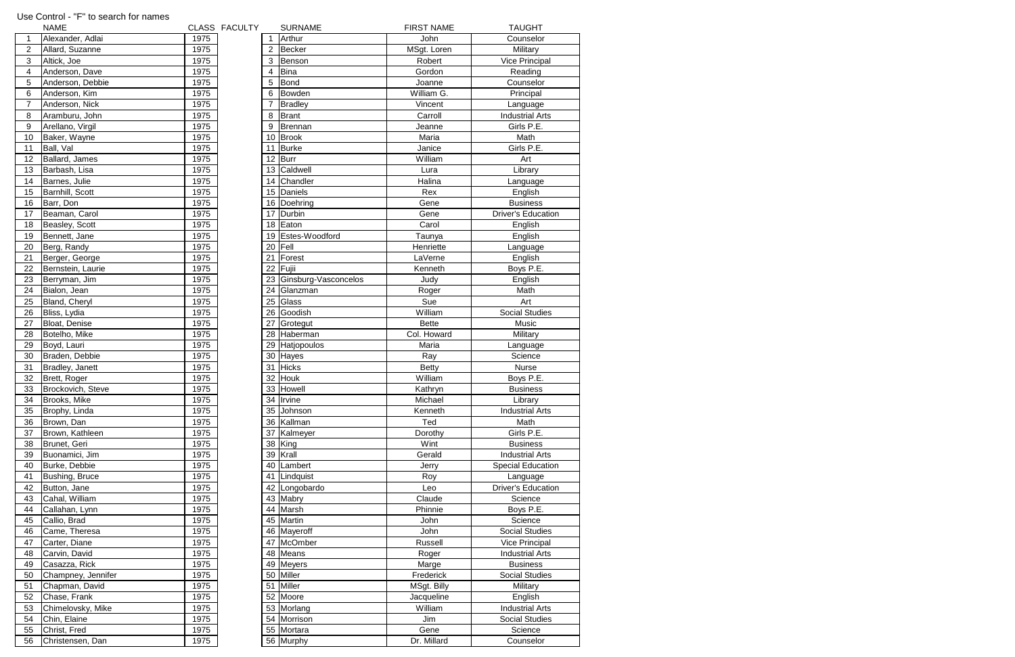|                 | <b>NAME</b>        |      | CLASS FACULTY |    | <b>SURNAME</b>       | <b>FIRST NAME</b> | <b>TAUGHT</b>             |
|-----------------|--------------------|------|---------------|----|----------------------|-------------------|---------------------------|
| $\overline{1}$  | Alexander, Adlai   | 1975 |               |    | Arthur               | John              | Counselor                 |
| $\overline{2}$  | Allard, Suzanne    | 1975 |               | 2  | Becker               | MSgt. Loren       | Military                  |
| $\sqrt{3}$      | Altick, Joe        | 1975 |               | 3  | Benson               | Robert            | <b>Vice Principal</b>     |
| $\overline{4}$  | Anderson, Dave     | 1975 |               |    | <b>Bina</b>          | Gordon            | Reading                   |
| $\overline{5}$  | Anderson, Debbie   | 1975 |               | 5  | Bond                 | Joanne            | Counselor                 |
| 6               | Anderson, Kim      | 1975 |               | 6  | Bowden               | William G.        | Principal                 |
| $\overline{7}$  | Anderson, Nick     | 1975 |               |    | Bradley              | Vincent           | Language                  |
| 8               | Aramburu, John     | 1975 |               | 8  | Brant                | Carroll           | <b>Industrial Arts</b>    |
| $9\,$           | Arellano, Virgil   | 1975 |               | 9  | Brennan              | Jeanne            | Girls P.E.                |
| 10 <sup>1</sup> |                    | 1975 |               |    | 10 Brook             | Maria             | Math                      |
|                 | Baker, Wayne       |      |               |    |                      |                   |                           |
| 11              | Ball, Val          | 1975 |               |    | 11 Burke             | Janice            | Girls P.E.                |
| 12              | Ballard, James     | 1975 |               |    | $12$ Burr            | William           | Art                       |
| 13              | Barbash, Lisa      | 1975 |               |    | 13 Caldwell          | Lura              | Library                   |
| 14              | Barnes, Julie      | 1975 |               |    | 14 Chandler          | Halina            | Language                  |
| 15              | Barnhill, Scott    | 1975 |               |    | 15 Daniels           | Rex               | English                   |
| 16              | Barr, Don          | 1975 |               |    | 16 Doehring          | Gene              | <b>Business</b>           |
| 17              | Beaman, Carol      | 1975 |               |    | 17 Durbin            | Gene              | <b>Driver's Education</b> |
| 18              | Beasley, Scott     | 1975 |               |    | 18 Eaton             | Carol             | English                   |
| 19              | Bennett, Jane      | 1975 |               |    | 19 Estes-Woodford    | Taunya            | English                   |
| 20              | Berg, Randy        | 1975 |               |    | 20 Fell              | Henriette         | Language                  |
| 21              | Berger, George     | 1975 |               | 21 | Forest               | LaVerne           | English                   |
| 22              | Bernstein, Laurie  | 1975 |               | 22 | Fujii                | Kenneth           | Boys P.E.                 |
| 23              | Berryman, Jim      | 1975 |               | 23 | Ginsburg-Vasconcelos | Judy              | English                   |
| 24              | Bialon, Jean       | 1975 |               | 24 | Glanzman             | Roger             | Math                      |
| 25              | Bland, Cheryl      | 1975 |               | 25 | Glass                | Sue               | Art                       |
| 26              | Bliss, Lydia       | 1975 |               |    | 26 Goodish           | William           | <b>Social Studies</b>     |
| 27              | Bloat, Denise      | 1975 |               | 27 | Grotegut             | <b>Bette</b>      | Music                     |
| 28              | Botelho, Mike      | 1975 |               | 28 | Haberman             | Col. Howard       | Military                  |
| 29              | Boyd, Lauri        | 1975 |               | 29 | Hatjopoulos          | Maria             | Language                  |
| 30              | Braden, Debbie     | 1975 |               |    | 30 Hayes             | Ray               | Science                   |
| 31              | Bradley, Janett    | 1975 |               |    | 31 Hicks             | <b>Betty</b>      | <b>Nurse</b>              |
| 32              | Brett, Roger       | 1975 |               | 32 | Houk                 | William           | Boys P.E.                 |
| 33              | Brockovich, Steve  | 1975 |               |    | 33 Howell            | Kathryn           | <b>Business</b>           |
| 34              | Brooks, Mike       | 1975 |               |    | 34 Irvine            | Michael           | Library                   |
| 35              | Brophy, Linda      | 1975 |               |    | 35 Johnson           | Kenneth           | <b>Industrial Arts</b>    |
| 36              | Brown, Dan         | 1975 |               |    | 36 Kallman           | Ted               | Math                      |
| 37              | Brown, Kathleen    | 1975 |               | 37 | Kalmeyer             | Dorothy           | Girls P.E.                |
| 38              | Brunet, Geri       | 1975 |               |    | 38 King              | Wint              | <b>Business</b>           |
| 39              | Buonamici, Jim     | 1975 |               | 39 | Krall                | Gerald            | <b>Industrial Arts</b>    |
| 40              | Burke, Debbie      | 1975 |               | 40 | Lambert              | Jerry             | <b>Special Education</b>  |
| 41              | Bushing, Bruce     | 1975 |               |    | 41 Lindquist         | Roy               | Language                  |
| 42              | Button, Jane       | 1975 |               |    | 42 Longobardo        | Leo               | <b>Driver's Education</b> |
| 43              | Cahal, William     | 1975 |               |    | 43 Mabry             | Claude            | Science                   |
| 44              | Callahan, Lynn     | 1975 |               |    | 44 Marsh             | Phinnie           | Boys P.E.                 |
| 45              | Callio, Brad       | 1975 |               |    | 45 Martin            | John              | Science                   |
|                 |                    |      |               |    |                      |                   |                           |
| 46              | Came, Theresa      | 1975 |               |    | 46 Mayeroff          | John              | <b>Social Studies</b>     |
| 47              | Carter, Diane      | 1975 |               |    | 47 McOmber           | Russell           | <b>Vice Principal</b>     |
| 48              | Carvin, David      | 1975 |               |    | 48 Means             | Roger             | <b>Industrial Arts</b>    |
| 49              | Casazza, Rick      | 1975 |               |    | 49 Meyers            | Marge             | <b>Business</b>           |
| 50              | Champney, Jennifer | 1975 |               |    | 50 Miller            | Frederick         | <b>Social Studies</b>     |
| 51              | Chapman, David     | 1975 |               | 51 | Miller               | MSgt. Billy       | Military                  |
| 52              | Chase, Frank       | 1975 |               | 52 | Moore                | Jacqueline        | English                   |
| 53              | Chimelovsky, Mike  | 1975 |               |    | 53 Morlang           | William           | <b>Industrial Arts</b>    |
| 54              | Chin, Elaine       | 1975 |               |    | 54 Morrison          | Jim               | <b>Social Studies</b>     |
| 55              | Christ, Fred       | 1975 |               |    | 55 Mortara           | Gene              | Science                   |
| 56              | Christensen, Dan   | 1975 |               |    | 56 Murphy            | Dr. Millard       | Counselor                 |

## Use Control - "F" to search for names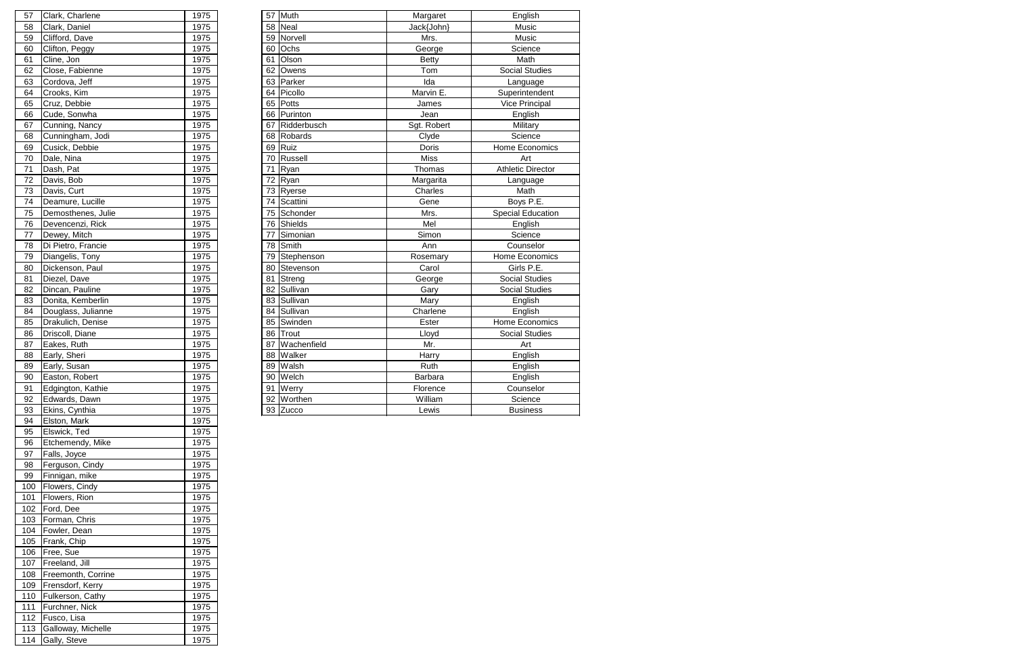| 57 | Clark, Charlene    | 1975 |    | 57 Muth        | Margaret     | English                  |
|----|--------------------|------|----|----------------|--------------|--------------------------|
| 58 | Clark, Daniel      | 1975 |    | 58 Neal        | Jack{John}   | Music                    |
| 59 | Clifford, Dave     | 1975 |    | 59 Norvell     | Mrs.         | Music                    |
| 60 | Clifton, Peggy     | 1975 |    | 60 Ochs        | George       | Science                  |
| 61 | Cline, Jon         | 1975 | 61 | Olson          | <b>Betty</b> | Math                     |
| 62 | Close, Fabienne    | 1975 | 62 | Owens          | Tom          | <b>Social Studies</b>    |
| 63 | Cordova, Jeff      | 1975 | 63 | Parker         | Ida          | Language                 |
| 64 | Crooks, Kim        | 1975 | 64 | Picollo        | Marvin E.    | Superintendent           |
| 65 | Cruz, Debbie       | 1975 | 65 | Potts          | James        | Vice Principal           |
| 66 | Cude, Sonwha       | 1975 |    | 66 Purinton    | Jean         | English                  |
| 67 | Cunning, Nancy     | 1975 | 67 | Ridderbusch    | Sgt. Robert  | Military                 |
| 68 | Cunningham, Jodi   | 1975 |    | 68 Robards     | Clyde        | Science                  |
| 69 | Cusick, Debbie     | 1975 |    | 69 Ruiz        | Doris        | Home Economics           |
| 70 | Dale, Nina         | 1975 |    | 70 Russell     | <b>Miss</b>  | Art                      |
| 71 | Dash, Pat          | 1975 | 71 | Ryan           | Thomas       | <b>Athletic Director</b> |
| 72 | Davis, Bob         | 1975 |    | 72 $Rxan$      | Margarita    | Language                 |
| 73 | Davis, Curt        | 1975 |    | 73 Ryerse      | Charles      | Math                     |
| 74 | Deamure, Lucille   | 1975 |    | 74 Scattini    | Gene         | Boys P.E.                |
| 75 | Demosthenes, Julie | 1975 |    | 75 Schonder    | Mrs.         | <b>Special Education</b> |
| 76 | Devencenzi, Rick   | 1975 |    | 76 Shields     | Mel          | English                  |
| 77 | Dewey, Mitch       | 1975 |    | 77 Simonian    | Simon        | Science                  |
| 78 | Di Pietro, Francie | 1975 |    | 78 Smith       | Ann          | Counselor                |
| 79 | Diangelis, Tony    | 1975 |    | 79 Stephenson  | Rosemary     | Home Economics           |
| 80 | Dickenson, Paul    | 1975 |    | 80 Stevenson   | Carol        | Girls P.E.               |
| 81 | Diezel, Dave       | 1975 |    | 81 Streng      | George       | <b>Social Studies</b>    |
| 82 | Dincan, Pauline    | 1975 |    | 82 Sullivan    | Gary         | <b>Social Studies</b>    |
| 83 | Donita, Kemberlin  | 1975 |    | 83 Sullivan    | Mary         | English                  |
| 84 | Douglass, Julianne | 1975 |    | 84 Sullivan    | Charlene     | English                  |
| 85 | Drakulich, Denise  | 1975 |    | 85 Swinden     | Ester        | Home Economics           |
| 86 | Driscoll, Diane    | 1975 |    | 86 Trout       | Lloyd        | <b>Social Studies</b>    |
| 87 | Eakes, Ruth        | 1975 |    | 87 Wachenfield | Mr.          | Art                      |
| 88 | Early, Sheri       | 1975 |    | 88 Walker      | Harry        | English                  |
| 89 | Early, Susan       | 1975 |    | 89 Walsh       | Ruth         | English                  |
| 90 | Easton, Robert     | 1975 |    | 90 Welch       | Barbara      | English                  |
| 91 | Edgington, Kathie  | 1975 |    | 91 Werry       | Florence     | Counselor                |
| 92 | Edwards, Dawn      | 1975 |    | 92 Worthen     | William      | Science                  |
| 93 | Ekins, Cynthia     | 1975 |    | 93 Zucco       | Lewis        | <b>Business</b>          |

| 57  | Clark, Charlene    | 1975 |
|-----|--------------------|------|
| 58  | Clark, Daniel      | 1975 |
| 59  | Clifford, Dave     | 1975 |
| 60  | Clifton, Peggy     | 1975 |
| 61  | Cline, Jon         | 1975 |
| 62  | Close, Fabienne    | 1975 |
| 63  | Cordova, Jeff      | 1975 |
| 64  | Crooks, Kim        | 1975 |
| 65  | Cruz, Debbie       | 1975 |
| 66  | Cude, Sonwha       | 1975 |
| 67  | Cunning, Nancy     | 1975 |
| 68  | Cunningham, Jodi   | 1975 |
| 69  | Cusick, Debbie     | 1975 |
| 70  | Dale, Nina         | 1975 |
| 71  |                    |      |
|     | Dash, Pat          | 1975 |
| 72  | Davis, Bob         | 1975 |
| 73  | Davis, Curt        | 1975 |
| 74  | Deamure, Lucille   | 1975 |
| 75  | Demosthenes, Julie | 1975 |
| 76  | Devencenzi, Rick   | 1975 |
| 77  | Dewey, Mitch       | 1975 |
| 78  | Di Pietro, Francie | 1975 |
| 79  | Diangelis, Tony    | 1975 |
| 80  | Dickenson, Paul    | 1975 |
| 81  | Diezel, Dave       | 1975 |
| 82  | Dincan, Pauline    | 1975 |
| 83  | Donita, Kemberlin  | 1975 |
| 84  | Douglass, Julianne | 1975 |
| 85  | Drakulich, Denise  | 1975 |
| 86  | Driscoll, Diane    | 1975 |
| 87  | Eakes, Ruth        | 1975 |
|     |                    |      |
| 88  | Early, Sheri       | 1975 |
| 89  | Early, Susan       | 1975 |
| 90  | Easton, Robert     | 1975 |
| 91  | Edgington, Kathie  | 1975 |
| 92  | Edwards, Dawn      | 1975 |
| 93  | Ekins, Cynthia     | 1975 |
| 94  | Elston, Mark       | 1975 |
| 95  | Elswick, Ted       | 1975 |
| 96  | Etchemendy, Mike   | 1975 |
| 97  | Falls, Joyce       | 1975 |
| 98  | Ferguson, Cindy    | 1975 |
| 99  | Finnigan, mike     | 1975 |
| 100 | Flowers, Cindy     | 1975 |
| 101 | Flowers, Rion      | 1975 |
| 102 | Ford, Dee          | 1975 |
| 103 | Forman, Chris      | 1975 |
| 104 | Fowler, Dean       | 1975 |
| 105 | Frank, Chip        | 1975 |
|     |                    |      |
| 106 | Free, Sue          | 1975 |
| 107 | Freeland, Jill     | 1975 |
| 108 | Freemonth, Corrine | 1975 |
| 109 | Frensdorf, Kerry   | 1975 |
| 110 | Fulkerson, Cathy   | 1975 |
| 111 | Furchner, Nick     | 1975 |
| 112 | Fusco, Lisa        | 1975 |
| 113 | Galloway, Michelle | 1975 |
| 114 | Gally, Steve       | 1975 |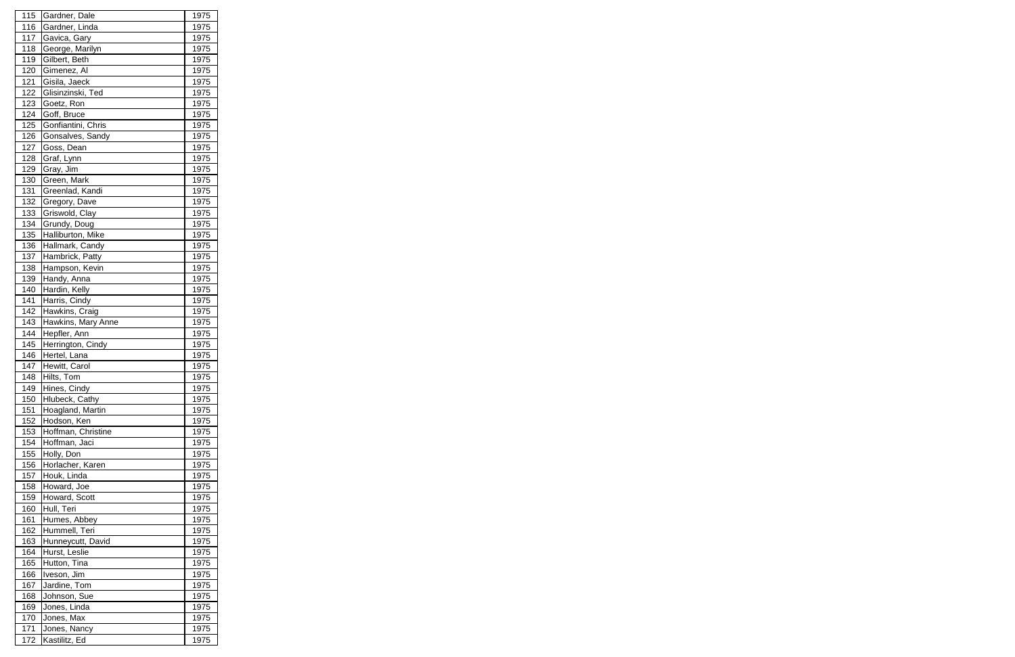| 115 | Gardner, Dale      | 1975 |
|-----|--------------------|------|
| 116 | Gardner, Linda     | 1975 |
| 117 | Gavica, Gary       | 1975 |
| 118 | George, Marilyn    | 1975 |
| 119 | Gilbert, Beth      | 1975 |
| 120 | Gimenez, Al        | 1975 |
| 121 | Gisila, Jaeck      | 1975 |
| 122 | Glisinzinski, Ted  | 1975 |
| 123 | Goetz, Ron         | 1975 |
| 124 | Goff, Bruce        | 1975 |
| 125 | Gonfiantini, Chris | 1975 |
| 126 | Gonsalves, Sandy   | 1975 |
| 127 | Goss, Dean         | 1975 |
| 128 | Graf, Lynn         | 1975 |
| 129 | Gray, Jim          | 1975 |
| 130 | Green, Mark        | 1975 |
| 131 | Greenlad, Kandi    | 1975 |
| 132 | Gregory, Dave      | 1975 |
| 133 | Griswold, Clay     | 1975 |
| 134 | Grundy, Doug       | 1975 |
|     |                    |      |
| 135 | Halliburton, Mike  | 1975 |
| 136 | Hallmark, Candy    | 1975 |
| 137 | Hambrick, Patty    | 1975 |
| 138 | Hampson, Kevin     | 1975 |
| 139 | Handy, Anna        | 1975 |
| 140 | Hardin, Kelly      | 1975 |
| 141 | Harris, Cindy      | 1975 |
| 142 | Hawkins, Craig     | 1975 |
| 143 | Hawkins, Mary Anne | 1975 |
| 144 | Hepfler, Ann       | 1975 |
| 145 | Herrington, Cindy  | 1975 |
| 146 | Hertel, Lana       | 1975 |
| 147 | Hewitt, Carol      | 1975 |
| 148 | Hilts, Tom         | 1975 |
| 149 | Hines, Cindy       | 1975 |
| 150 | Hlubeck, Cathy     | 1975 |
| 151 | Hoagland, Martin   | 1975 |
| 152 | Hodson, Ken        | 1975 |
| 153 | Hoffman, Christine | 1975 |
| 154 | Hoffman, Jaci      | 1975 |
| 155 | Holly, Don         | 1975 |
| 156 | Horlacher, Karen   | 1975 |
| 157 | Houk, Linda        | 1975 |
| 158 | Howard, Joe        | 1975 |
| 159 | Howard, Scott      | 1975 |
| 160 | Hull, Teri         | 1975 |
| 161 | Humes, Abbey       | 1975 |
| 162 | Hummell, Teri      | 1975 |
| 163 | Hunneycutt, David  | 1975 |
| 164 | Hurst, Leslie      | 1975 |
| 165 | Hutton, Tina       | 1975 |
| 166 | Iveson, Jim        | 1975 |
| 167 | Jardine, Tom       | 1975 |
| 168 | Johnson, Sue       | 1975 |
| 169 | Jones, Linda       | 1975 |
| 170 | Jones, Max         | 1975 |
| 171 | Jones, Nancy       | 1975 |
| 172 | Kastilitz, Ed      | 1975 |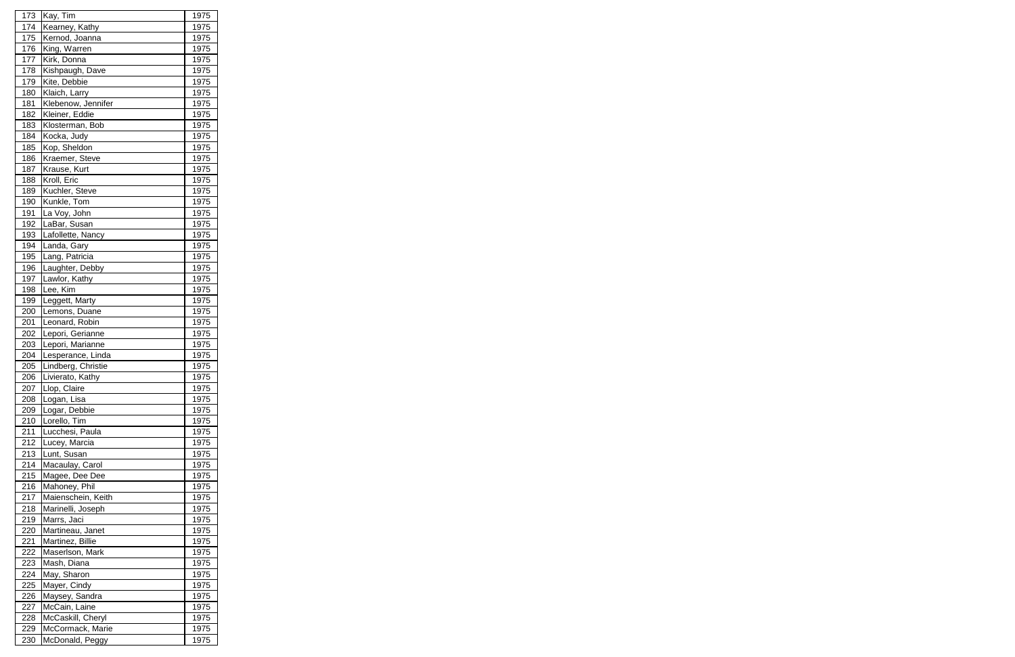| 173 | Kay, Tim           | 1975 |
|-----|--------------------|------|
| 174 | Kearney, Kathy     | 1975 |
| 175 | Kernod, Joanna     | 1975 |
| 176 | King, Warren       | 1975 |
| 177 | Kirk, Donna        | 1975 |
| 178 | Kishpaugh, Dave    | 1975 |
| 179 | Kite, Debbie       | 1975 |
| 180 | Klaich, Larry      | 1975 |
| 181 | Klebenow, Jennifer | 1975 |
| 182 | Kleiner, Eddie     | 1975 |
| 183 | Klosterman, Bob    | 1975 |
| 184 | Kocka, Judy        | 1975 |
| 185 | Kop, Sheldon       | 1975 |
| 186 | Kraemer, Steve     | 1975 |
| 187 | Krause, Kurt       | 1975 |
| 188 | Kroll, Eric        | 1975 |
| 189 | Kuchler, Steve     | 1975 |
| 190 | Kunkle, Tom        | 1975 |
| 191 | La Voy, John       | 1975 |
| 192 | LaBar, Susan       | 1975 |
| 193 | Lafollette, Nancy  | 1975 |
| 194 | Landa, Gary        | 1975 |
| 195 | Lang, Patricia     | 1975 |
| 196 | Laughter, Debby    | 1975 |
| 197 | Lawlor, Kathy      | 1975 |
| 198 | Lee, Kim           | 1975 |
| 199 | Leggett, Marty     | 1975 |
| 200 | Lemons, Duane      | 1975 |
| 201 | Leonard, Robin     | 1975 |
| 202 | Lepori, Gerianne   | 1975 |
| 203 | Lepori, Marianne   | 1975 |
| 204 | Lesperance, Linda  | 1975 |
| 205 | Lindberg, Christie | 1975 |
| 206 | Livierato, Kathy   | 1975 |
| 207 | Llop, Claire       | 1975 |
| 208 | Logan, Lisa        | 1975 |
| 209 | Logar, Debbie      | 1975 |
| 210 | Lorello, Tim       | 1975 |
| 211 | Lucchesi, Paula    | 1975 |
| 212 | Lucey, Marcia      | 1975 |
| 213 | Lunt, Susan        | 1975 |
| 214 | Macaulay, Carol    | 1975 |
| 215 | Magee, Dee Dee     | 1975 |
| 216 | Mahoney, Phil      | 1975 |
| 217 | Maienschein, Keith | 1975 |
| 218 | Marinelli, Joseph  | 1975 |
| 219 | Marrs, Jaci        | 1975 |
| 220 | Martineau, Janet   | 1975 |
| 221 | Martinez, Billie   | 1975 |
| 222 | Maserlson, Mark    | 1975 |
| 223 | Mash, Diana        | 1975 |
| 224 | May, Sharon        | 1975 |
| 225 | Mayer, Cindy       | 1975 |
| 226 | Maysey, Sandra     | 1975 |
| 227 | McCain, Laine      | 1975 |
| 228 | McCaskill, Cheryl  | 1975 |
| 229 | McCormack, Marie   | 1975 |
| 230 | McDonald, Peggy    | 1975 |
|     |                    |      |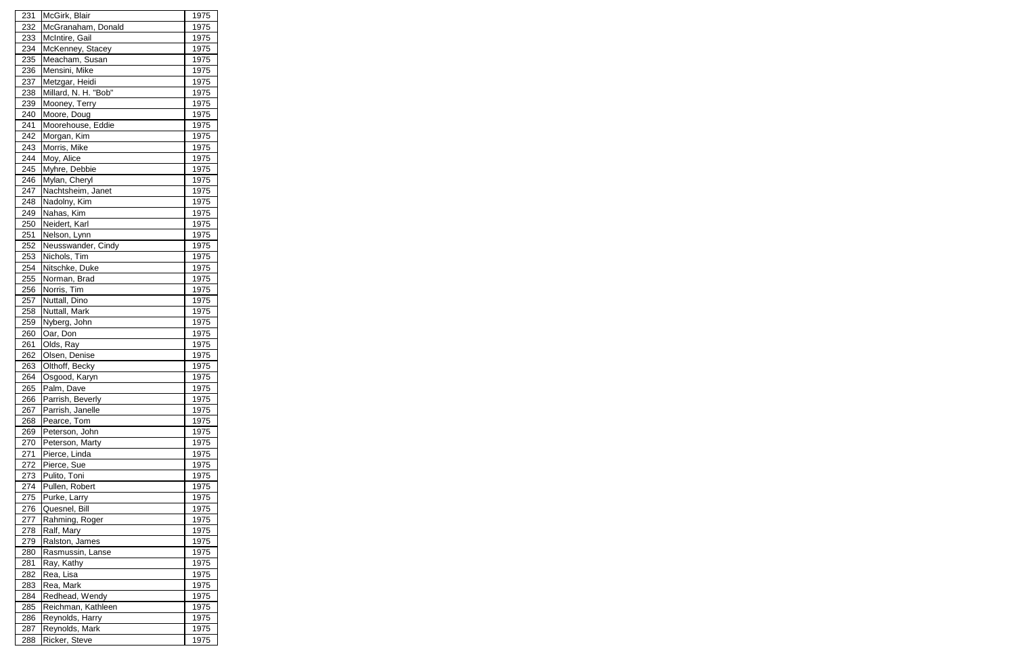| 231 | McGirk, Blair                      | 1975        |
|-----|------------------------------------|-------------|
| 232 | McGranaham, Donald                 | 1975        |
| 233 | McIntire, Gail                     | 1975        |
| 234 | McKenney, Stacey                   | 1975        |
| 235 | Meacham, Susan                     | 1975        |
| 236 | Mensini, Mike                      | 1975        |
| 237 | Metzgar, Heidi                     | 1975        |
| 238 | Millard, N. H. "Bob"               | 1975        |
| 239 | Mooney, Terry                      | 1975        |
| 240 | Moore, Doug                        | 1975        |
| 241 | Moorehouse, Eddie                  | 1975        |
| 242 | Morgan, Kim                        | 1975        |
| 243 | Morris, Mike                       | 1975        |
| 244 | Moy, Alice                         | 1975        |
| 245 | Myhre, Debbie                      | 1975        |
| 246 | Mylan, Cheryl                      | 1975        |
| 247 | Nachtsheim, Janet                  | 1975        |
| 248 | Nadolny, Kim                       | 1975        |
| 249 | Nahas, Kim                         | 1975        |
| 250 | Neidert, Karl                      | 1975        |
| 251 |                                    | 1975        |
| 252 | Nelson, Lynn<br>Neusswander, Cindy | 1975        |
|     | Nichols, Tim                       |             |
| 253 |                                    | 1975        |
| 254 | Nitschke, Duke                     | 1975        |
| 255 | Norman, Brad                       | 1975        |
| 256 | Norris, Tim                        | 1975        |
| 257 | Nuttall, Dino                      | 1975        |
| 258 | Nuttall, Mark                      | 1975        |
| 259 | Nyberg, John                       | 1975        |
| 260 | Oar, Don                           | 1975        |
| 261 | Olds, Ray                          | 1975        |
| 262 | Olsen, Denise                      | 1975        |
| 263 | Olthoff, Becky                     | 1975        |
| 264 | Osgood, Karyn                      | <u>1975</u> |
| 265 | Palm, Dave                         | 1975        |
| 266 | Parrish, Beverly                   | 1975        |
| 267 | Parrish, Janelle                   | 1975        |
| 268 | Pearce, Tom                        | 1975        |
| 269 | Peterson, John                     | 1975        |
| 270 | Peterson, Marty                    | 1975        |
| 271 | Pierce, Linda                      | 1975        |
| 272 | Pierce, Sue                        | 1975        |
| 273 | Pulito, Toni                       | 1975        |
| 274 | Pullen, Robert                     | 1975        |
| 275 | Purke, Larry                       | 1975        |
| 276 | Quesnel, Bill                      | 1975        |
| 277 | Rahming, Roger                     | 1975        |
| 278 | Ralf, Mary                         | 1975        |
| 279 | Ralston, James                     | 1975        |
| 280 | Rasmussin, Lanse                   | 1975        |
| 281 | Ray, Kathy                         | 1975        |
| 282 | Rea, Lisa                          | 1975        |
| 283 | Rea, Mark                          | 1975        |
| 284 | Redhead, Wendy                     | 1975        |
| 285 | Reichman, Kathleen                 | 1975        |
| 286 | Reynolds, Harry                    | 1975        |
|     |                                    |             |
| 287 | Reynolds, Mark                     | 1975        |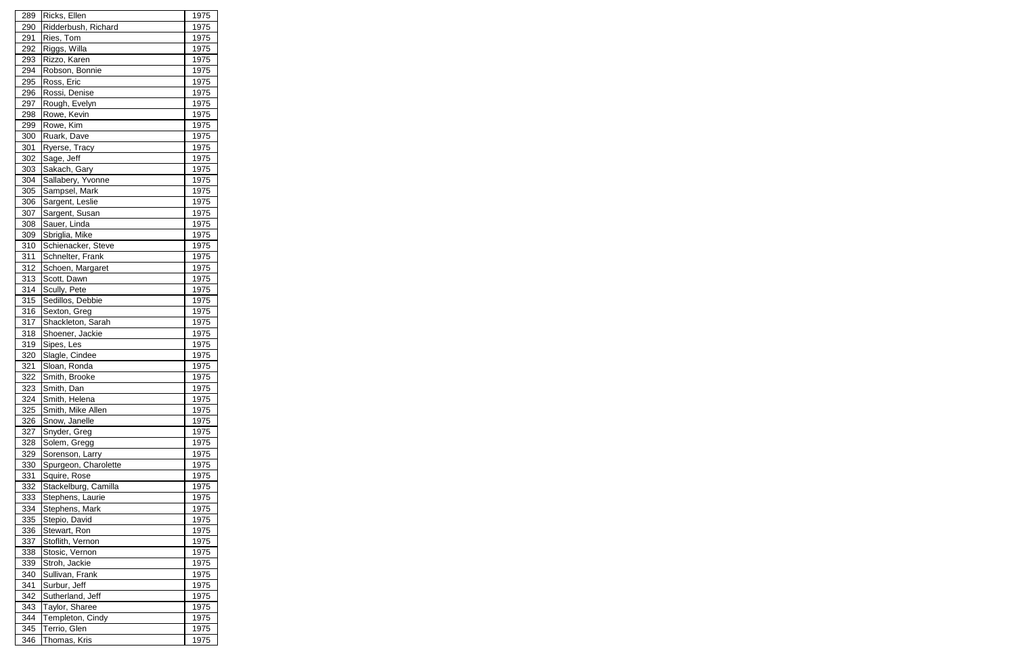| 289<br>290<br>291<br>292 |                                      |              |
|--------------------------|--------------------------------------|--------------|
|                          | Ricks, Ellen                         | 1975         |
|                          | Ridderbush, Richard                  | 1975         |
|                          | Ries, Tom                            | 1975         |
|                          | Riggs, Willa                         | 1975         |
| 293                      | Rizzo, Karen                         | 1975         |
| 294                      | Robson, Bonnie                       | 1975         |
| 295                      | Ross, Eric                           | 1975         |
| 296                      | Rossi, Denise                        | 1975         |
| 297                      | Rough, Evelyn                        | 1975         |
| 298                      | Rowe, Kevin                          | 1975         |
| 299                      | Rowe, Kim                            | 1975         |
| 300                      | Ruark, Dave                          | 1975         |
| 301                      | Ryerse, Tracy                        | 1975         |
| 302                      | Sage, Jeff                           | 1975         |
| 303                      | Sakach, Gary                         | 1975         |
| 304                      | Sallabery, Yvonne                    | 1975         |
| 305                      | Sampsel, Mark                        | 1975         |
| 306                      | Sargent, Leslie                      | 1975         |
| 307                      | Sargent, Susan                       | 1975         |
| 308                      | Sauer, Linda                         | 1975         |
|                          |                                      |              |
| 309                      | Sbriglia, Mike<br>Schienacker, Steve | 1975         |
| 310                      |                                      | 1975         |
| 311                      | Schnelter, Frank                     | 1975         |
| 312                      | Schoen, Margaret                     | 1975         |
| 313                      | Scott, Dawn                          | 1975         |
| 314                      | Scully, Pete                         | 1975         |
| 315                      | Sedillos, Debbie                     | 1975         |
| 316                      | Sexton, Greg                         | 1975         |
| 317                      | Shackleton, Sarah                    | 1975         |
| 318                      | Shoener, Jackie                      | 1975         |
| 319                      | Sipes, Les                           | 1975         |
| 320                      | Slagle, Cindee                       | 1975         |
| 321                      | Sloan, Ronda                         | 1975         |
| 322                      | Smith, Brooke                        | 1975         |
| 323                      | Smith, Dan                           | 1975         |
| 324                      | Smith, Helena                        | 1975         |
| 325                      | Smith, Mike Allen                    | 1975         |
|                          | Snow, Janelle                        |              |
| 326                      | Snyder, Greg                         | 1975         |
| 327                      |                                      | 1975         |
| 328                      | Solem, Gregg                         | 1975         |
| 329                      | Sorenson, Larry                      | 1975         |
| 330                      | Spurgeon, Charolette                 | 1975         |
| 331                      | Squire, Rose                         | 1975         |
| 332                      | Stackelburg, Camilla                 | 1975         |
| 333                      | Stephens, Laurie                     | 1975         |
| 334                      | Stephens, Mark                       | 1975         |
| 335                      | Stepio, David                        | 1975         |
| 336                      | Stewart, Ron                         | 1975         |
| 337                      | Stoflith, Vernon                     | 1975         |
| 338                      | Stosic, Vernon                       | 1975         |
| 339                      | Stroh, Jackie                        | 1975         |
| 340                      | Sullivan, Frank                      | 1975         |
| 341                      | Surbur, Jeff                         | 1975         |
| 342                      | Sutherland, Jeff                     | 1975         |
| 343                      | Taylor, Sharee                       | 1975         |
| 344                      |                                      |              |
| 345                      | Templeton, Cindy<br>Terrio, Glen     | 1975<br>1975 |